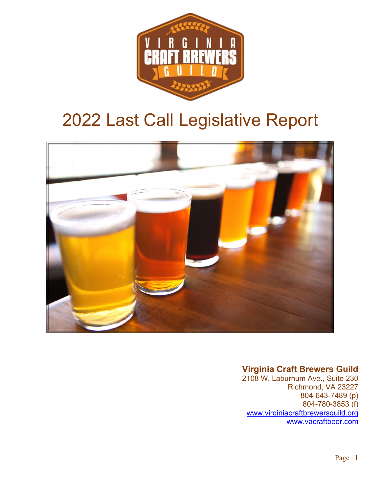

# 2022 Last Call Legislative Report



### **Virginia Craft Brewers Guild**

2108 W. Laburnum Ave., Suite 230 Richmond, VA 23227 804-643-7489 (p) 804-780-3853 (f) [www.virginiacraftbrewersguild.org](http://www.virginiacraftbrewersguild.org/)  [www.vacraftbeer.com](http://www.vacraftbeer.com/)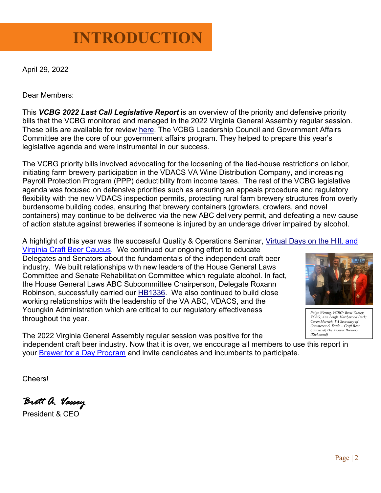# **INTRODUCTION**

April 29, 2022

Dear Members:

This *VCBG 2022 Last Call Legislative Report* is an overview of the priority and defensive priority bills that the VCBG monitored and managed in the 2022 Virginia General Assembly regular session. These bills are available for review [here.](https://export.fiscalnote.com/VCBG_Last_Call_Legislative_Report_202204291209_s57dyekx3lk.pdf?Expires=1682770157&Signature=G33EruyMTuen38pOlYwMAgbrM%2F0%3D) The VCBG Leadership Council and Government Affairs Committee are the core of our government affairs program. They helped to prepare this year's legislative agenda and were instrumental in our success.

The VCBG priority bills involved advocating for the loosening of the tied-house restrictions on labor, initiating farm brewery participation in the VDACS VA Wine Distribution Company, and increasing Payroll Protection Program (PPP) deductibility from income taxes. The rest of the VCBG legislative agenda was focused on defensive priorities such as ensuring an appeals procedure and regulatory flexibility with the new VDACS inspection permits, protecting rural farm brewery structures from overly burdensome building codes, ensuring that brewery containers (growlers, crowlers, and novel containers) may continue to be delivered via the new ABC delivery permit, and defeating a new cause of action statute against breweries if someone is injured by an underage driver impaired by alcohol.

A highlight of this year was the successful Quality & Operations Seminar, [Virtual Days on the Hill,](https://www.virginiacraftbrewers.org/event/2022-virginia-craft-beer-legislative-caucus/?instance_id=111) and [Virginia](https://www.virginiacraftbrewers.org/event/2022-virginia-craft-beer-legislative-caucus/?instance_id=111) Craft Beer Caucus. We continued our ongoing effort to educate Delegates and Senators about the fundamentals of the independent craft beer industry. We built relationships with new leaders of the House General Laws Committee and Senate Rehabilitation Committee which regulate alcohol. In fact, the House General Laws ABC Subcommittee Chairperson, Delegate Roxann Robinson, successfully carried our [HB1336.](http://leg1.state.va.us/cgi-bin/legp504.exe?221+sum+HB1336) We also continued to build close working relationships with the leadership of the VA ABC, VDACS, and the Youngkin Administration which are critical to our regulatory effectiveness throughout the year.



*Paige Wernig, VCBG; Brett Vassey, VCBG; Ann Leigh, Hardywood Park; Caren Merrick, VA Secretary of Commerce & Trade – Craft Beer Caucus @ The Answer Brewery (Richmond)*

The 2022 Virginia General Assembly regular session was positive for the independent craft beer industry. Now that it is over, we encourage all members to use this report in your [Brewer for a Day Program](https://www.virginiacraftbrewers.org/va-craft-brewer-for-a-day-grassroots-advocacy-program/) and invite candidates and incumbents to participate.

Cheers!

*Brett A. Vassey* 

President & CEO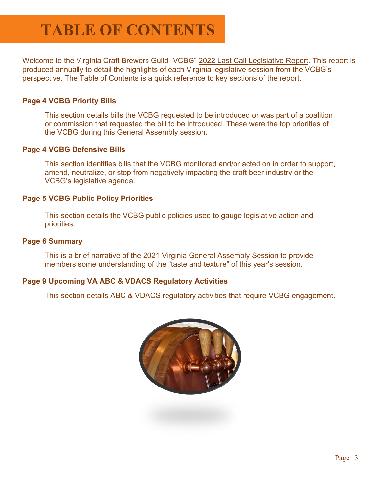Welcome to the Virginia Craft Brewers Guild "VCBG" 2022 Last Call Legislative Report. This report is produced annually to detail the highlights of each Virginia legislative session from the VCBG's perspective. The Table of Contents is a quick reference to key sections of the report.

### **Page 4 VCBG Priority Bills**

This section details bills the VCBG requested to be introduced or was part of a coalition or commission that requested the bill to be introduced. These were the top priorities of the VCBG during this General Assembly session.

### **Page 4 VCBG Defensive Bills**

This section identifies bills that the VCBG monitored and/or acted on in order to support, amend, neutralize, or stop from negatively impacting the craft beer industry or the VCBG's legislative agenda.

### **Page 5 VCBG Public Policy Priorities**

This section details the VCBG public policies used to gauge legislative action and priorities.

### **Page 6 Summary**

This is a brief narrative of the 2021 Virginia General Assembly Session to provide members some understanding of the "taste and texture" of this year's session.

### **Page 9 Upcoming VA ABC & VDACS Regulatory Activities**

This section details ABC & VDACS regulatory activities that require VCBG engagement.

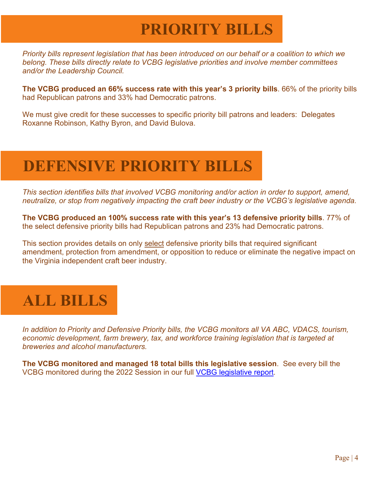# **PRIORITY BILLS**

*Priority bills represent legislation that has been introduced on our behalf or a coalition to which we belong. These bills directly relate to VCBG legislative priorities and involve member committees and/or the Leadership Council.*

**The VCBG produced an 66% success rate with this year's 3 priority bills**. 66% of the priority bills had Republican patrons and 33% had Democratic patrons.

We must give credit for these successes to specific priority bill patrons and leaders: Delegates Roxanne Robinson, Kathy Byron, and David Bulova.

## **DEFENSIVE PRIORITY BILLS**

*This section identifies bills that involved VCBG monitoring and/or action in order to support, amend, neutralize, or stop from negatively impacting the craft beer industry or the VCBG's legislative agenda.*

**The VCBG produced an 100% success rate with this year's 13 defensive priority bills**. 77% of the select defensive priority bills had Republican patrons and 23% had Democratic patrons.

This section provides details on only select defensive priority bills that required significant amendment, protection from amendment, or opposition to reduce or eliminate the negative impact on the Virginia independent craft beer industry.

## **ALL BILLS**

*In addition to Priority and Defensive Priority bills, the VCBG monitors all VA ABC, VDACS, tourism, economic development, farm brewery, tax, and workforce training legislation that is targeted at breweries and alcohol manufacturers.* 

**The VCBG monitored and managed 18 total bills this legislative session**.See every bill the VCBG monitored during the 2022 Session in our full [VCBG legislative report.](https://export.fiscalnote.com/VCBG_Last_Call_Legislative_Report_202204291209_s57dyekx3lk.pdf?Expires=1682770157&Signature=G33EruyMTuen38pOlYwMAgbrM%2F0%3D)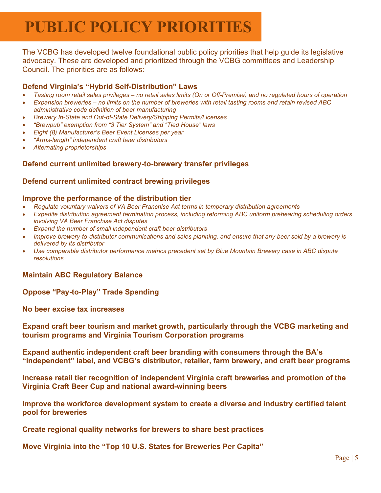## **PUBLIC POLICY PRIORITIES**

The VCBG has developed twelve foundational public policy priorities that help guide its legislative advocacy. These are developed and prioritized through the VCBG committees and Leadership Council. The priorities are as follows:

### **Defend Virginia's "Hybrid Self-Distribution" Laws**

- *Tasting room retail sales privileges – no retail sales limits (On or Off-Premise) and no regulated hours of operation*
- *Expansion breweries – no limits on the number of breweries with retail tasting rooms and retain revised ABC administrative code definition of beer manufacturing*
- *Brewery In-State and Out-of-State Delivery/Shipping Permits/Licenses*
- *"Brewpub" exemption from "3 Tier System" and "Tied House" laws*
- *Eight (8) Manufacturer's Beer Event Licenses per year*
- *"Arms-length" independent craft beer distributors*
- *Alternating proprietorships*

### **Defend current unlimited brewery-to-brewery transfer privileges**

#### **Defend current unlimited contract brewing privileges**

#### **Improve the performance of the distribution tier**

- *Regulate voluntary waivers of VA Beer Franchise Act terms in temporary distribution agreements*
- *Expedite distribution agreement termination process, including reforming ABC uniform prehearing scheduling orders involving VA Beer Franchise Act disputes*
- *Expand the number of small independent craft beer distributors*
- *Improve brewery-to-distributor communications and sales planning, and ensure that any beer sold by a brewery is delivered by its distributor*
- *Use comparable distributor performance metrics precedent set by Blue Mountain Brewery case in ABC dispute resolutions*

#### **Maintain ABC Regulatory Balance**

#### **Oppose "Pay-to-Play" Trade Spending**

**No beer excise tax increases**

**Expand craft beer tourism and market growth, particularly through the VCBG marketing and tourism programs and Virginia Tourism Corporation programs**

**Expand authentic independent craft beer branding with consumers through the BA's "Independent" label, and VCBG's distributor, retailer, farm brewery, and craft beer programs**

**Increase retail tier recognition of independent Virginia craft breweries and promotion of the Virginia Craft Beer Cup and national award-winning beers**

**Improve the workforce development system to create a diverse and industry certified talent pool for breweries**

**Create regional quality networks for brewers to share best practices**

**Move Virginia into the "Top 10 U.S. States for Breweries Per Capita"**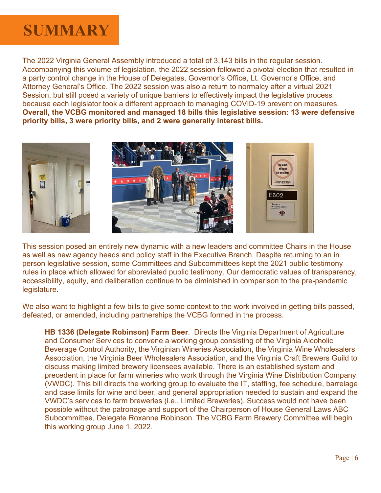## **SUMMARY**

The 2022 Virginia General Assembly introduced a total of 3,143 bills in the regular session. Accompanying this volume of legislation, the 2022 session followed a pivotal election that resulted in a party control change in the House of Delegates, Governor's Office, Lt. Governor's Office, and Attorney General's Office. The 2022 session was also a return to normalcy after a virtual 2021 Session, but still posed a variety of unique barriers to effectively impact the legislative process because each legislator took a different approach to managing COVID-19 prevention measures. **Overall, the VCBG monitored and managed 18 bills this legislative session: 13 were defensive priority bills, 3 were priority bills, and 2 were generally interest bills.**



This session posed an entirely new dynamic with a new leaders and committee Chairs in the House as well as new agency heads and policy staff in the Executive Branch. Despite returning to an in person legislative session, some Committees and Subcommittees kept the 2021 public testimony rules in place which allowed for abbreviated public testimony. Our democratic values of transparency, accessibility, equity, and deliberation continue to be diminished in comparison to the pre-pandemic legislature.

We also want to highlight a few bills to give some context to the work involved in getting bills passed, defeated, or amended, including partnerships the VCBG formed in the process.

**HB 1336 (Delegate Robinson) Farm Beer**. Directs the Virginia Department of Agriculture and Consumer Services to convene a working group consisting of the Virginia Alcoholic Beverage Control Authority, the Virginian Wineries Association, the Virginia Wine Wholesalers Association, the Virginia Beer Wholesalers Association, and the Virginia Craft Brewers Guild to discuss making limited brewery licensees available. There is an established system and precedent in place for farm wineries who work through the Virginia Wine Distribution Company (VWDC). This bill directs the working group to evaluate the IT, staffing, fee schedule, barrelage and case limits for wine and beer, and general appropriation needed to sustain and expand the VWDC's services to farm breweries (i.e., Limited Breweries). Success would not have been possible without the patronage and support of the Chairperson of House General Laws ABC Subcommittee, Delegate Roxanne Robinson. The VCBG Farm Brewery Committee will begin this working group June 1, 2022.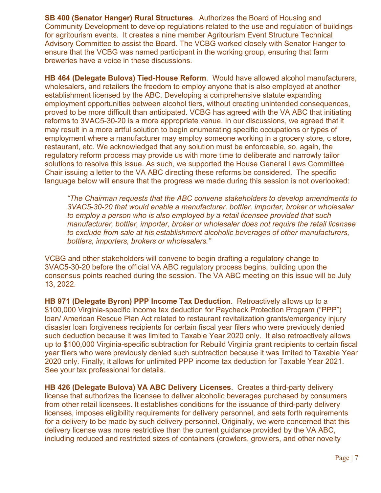**SB 400 (Senator Hanger) Rural Structures**. Authorizes the Board of Housing and Community Development to develop regulations related to the use and regulation of buildings for agritourism events. It creates a nine member Agritourism Event Structure Technical Advisory Committee to assist the Board. The VCBG worked closely with Senator Hanger to ensure that the VCBG was named participant in the working group, ensuring that farm breweries have a voice in these discussions.

**HB 464 (Delegate Bulova) Tied-House Reform**. Would have allowed alcohol manufacturers, wholesalers, and retailers the freedom to employ anyone that is also employed at another establishment licensed by the ABC. Developing a comprehensive statute expanding employment opportunities between alcohol tiers, without creating unintended consequences, proved to be more difficult than anticipated. VCBG has agreed with the VA ABC that initiating reforms to 3VAC5-30-20 is a more appropriate venue. In our discussions, we agreed that it may result in a more artful solution to begin enumerating specific occupations or types of employment where a manufacturer may employ someone working in a grocery store, c store, restaurant, etc. We acknowledged that any solution must be enforceable, so, again, the regulatory reform process may provide us with more time to deliberate and narrowly tailor solutions to resolve this issue. As such, we supported the House General Laws Committee Chair issuing a letter to the VA ABC directing these reforms be considered. The specific language below will ensure that the progress we made during this session is not overlooked:

*"The Chairman requests that the ABC convene stakeholders to develop amendments to 3VAC5-30-20 that would enable a manufacturer, bottler, importer, broker or wholesaler to employ a person who is also employed by a retail licensee provided that such manufacturer, bottler, importer, broker or wholesaler does not require the retail licensee to exclude from sale at his establishment alcoholic beverages of other manufacturers, bottlers, importers, brokers or wholesalers."*

VCBG and other stakeholders will convene to begin drafting a regulatory change to 3VAC5-30-20 before the official VA ABC regulatory process begins, building upon the consensus points reached during the session. The VA ABC meeting on this issue will be July 13, 2022.

**HB 971 (Delegate Byron) PPP Income Tax Deduction**. Retroactively allows up to a \$100,000 Virginia-specific income tax deduction for Paycheck Protection Program ("PPP") loan/ American Rescue Plan Act related to restaurant revitalization grants/emergency injury disaster loan forgiveness recipients for certain fiscal year filers who were previously denied such deduction because it was limited to Taxable Year 2020 only. It also retroactively allows up to \$100,000 Virginia-specific subtraction for Rebuild Virginia grant recipients to certain fiscal year filers who were previously denied such subtraction because it was limited to Taxable Year 2020 only. Finally, it allows for unlimited PPP income tax deduction for Taxable Year 2021. See your tax professional for details.

**HB 426 (Delegate Bulova) VA ABC Delivery Licenses**. Creates a third-party delivery license that authorizes the licensee to deliver alcoholic beverages purchased by consumers from other retail licensees. It establishes conditions for the issuance of third-party delivery licenses, imposes eligibility requirements for delivery personnel, and sets forth requirements for a delivery to be made by such delivery personnel. Originally, we were concerned that this delivery license was more restrictive than the current guidance provided by the VA ABC, including reduced and restricted sizes of containers (crowlers, growlers, and other novelty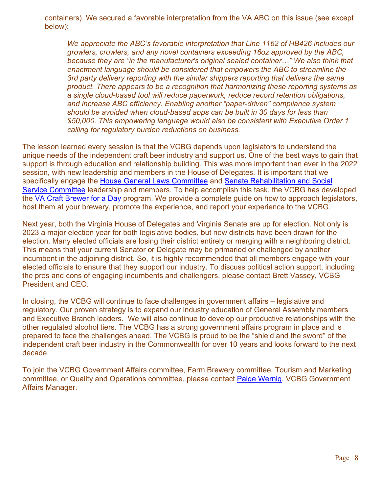containers). We secured a favorable interpretation from the VA ABC on this issue (see except below):

*We appreciate the ABC's favorable interpretation that Line 1162 of HB426 includes our growlers, crowlers, and any novel containers exceeding 16oz approved by the ABC, because they are "in the manufacturer's original sealed container…" We also think that enactment language should be considered that empowers the ABC to streamline the 3rd party delivery reporting with the similar shippers reporting that delivers the same product. There appears to be a recognition that harmonizing these reporting systems as a single cloud-based tool will reduce paperwork, reduce record retention obligations, and increase ABC efficiency. Enabling another "paper-driven" compliance system should be avoided when cloud-based apps can be built in 30 days for less than \$50,000. This empowering language would also be consistent with Executive Order 1 calling for regulatory burden reductions on business.* 

The lesson learned every session is that the VCBG depends upon legislators to understand the unique needs of the independent craft beer industry and support us. One of the best ways to gain that support is through education and relationship building. This was more important than ever in the 2022 session, with new leadership and members in the House of Delegates. It is important that we specifically engage the [House General Laws Committee](http://leg1.state.va.us/cgi-bin/legp504.exe?212+com+H11) and [Senate Rehabilitation and Social](http://leg1.state.va.us/cgi-bin/legp504.exe?212+com+S9)  [Service Committee](http://leg1.state.va.us/cgi-bin/legp504.exe?212+com+S9) leadership and members. To help accomplish this task, the VCBG has developed the [VA Craft Brewer for a Day](https://www.virginiacraftbrewers.org/va-craft-brewer-for-a-day-grassroots-advocacy-program/) program. We provide a complete guide on how to approach legislators, host them at your brewery, promote the experience, and report your experience to the VCBG.

Next year, both the Virginia House of Delegates and Virginia Senate are up for election. Not only is 2023 a major election year for both legislative bodies, but new districts have been drawn for the election. Many elected officials are losing their district entirely or merging with a neighboring district. This means that your current Senator or Delegate may be primaried or challenged by another incumbent in the adjoining district. So, it is highly recommended that all members engage with your elected officials to ensure that they support our industry. To discuss political action support, including the pros and cons of engaging incumbents and challengers, please contact Brett Vassey, VCBG President and CEO.

In closing, the VCBG will continue to face challenges in government affairs – legislative and regulatory. Our proven strategy is to expand our industry education of General Assembly members and Executive Branch leaders. We will also continue to develop our productive relationships with the other regulated alcohol tiers. The VCBG has a strong government affairs program in place and is prepared to face the challenges ahead. The VCBG is proud to be the "shield and the sword" of the independent craft beer industry in the Commonwealth for over 10 years and looks forward to the next decade.

To join the VCBG Government Affairs committee, Farm Brewery committee, Tourism and Marketing committee, or Quality and Operations committee, please contact [Paige Wernig,](mailto:pwernig@vacraftbrewersguild.com) VCBG Government Affairs Manager.